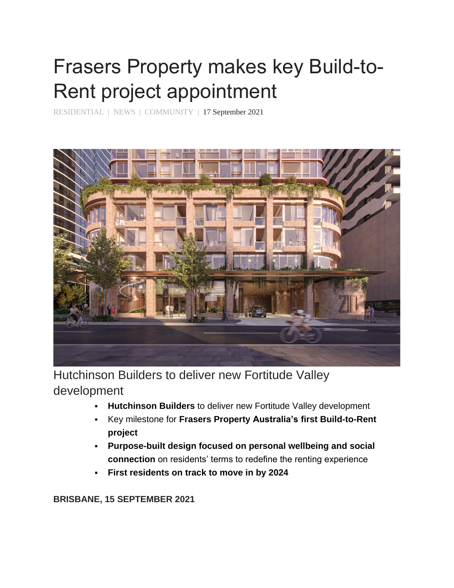## Frasers Property makes key Build-to-Rent project appointment

[RESIDENTIAL](https://www.frasersproperty.com.au/Media-Centre/News?category=Residential) | [NEWS](https://www.frasersproperty.com.au/Media-Centre/News?category=News) | [COMMUNITY](https://www.frasersproperty.com.au/Media-Centre/News?category=Community) | 17 September 2021



Hutchinson Builders to deliver new Fortitude Valley development

- **Hutchinson Builders** to deliver new Fortitude Valley development
- Key milestone for **Frasers Property Australia's first Build-to-Rent project**
- **Purpose-built design focused on personal wellbeing and social connection** on residents' terms to redefine the renting experience
- **First residents on track to move in by 2024**

**BRISBANE, 15 SEPTEMBER 2021**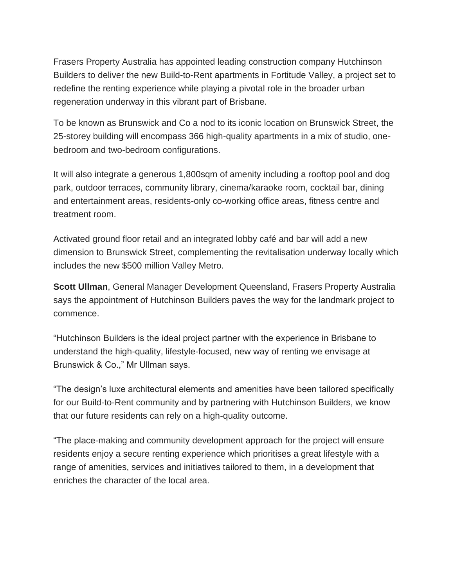Frasers Property Australia has appointed leading construction company Hutchinson Builders to deliver the new Build-to-Rent apartments in Fortitude Valley, a project set to redefine the renting experience while playing a pivotal role in the broader urban regeneration underway in this vibrant part of Brisbane.

To be known as Brunswick and Co a nod to its iconic location on Brunswick Street, the 25-storey building will encompass 366 high-quality apartments in a mix of studio, onebedroom and two-bedroom configurations.

It will also integrate a generous 1,800sqm of amenity including a rooftop pool and dog park, outdoor terraces, community library, cinema/karaoke room, cocktail bar, dining and entertainment areas, residents-only co-working office areas, fitness centre and treatment room.

Activated ground floor retail and an integrated lobby café and bar will add a new dimension to Brunswick Street, complementing the revitalisation underway locally which includes the new \$500 million Valley Metro.

**Scott Ullman**, General Manager Development Queensland, Frasers Property Australia says the appointment of Hutchinson Builders paves the way for the landmark project to commence.

"Hutchinson Builders is the ideal project partner with the experience in Brisbane to understand the high-quality, lifestyle-focused, new way of renting we envisage at Brunswick & Co.," Mr Ullman says.

"The design's luxe architectural elements and amenities have been tailored specifically for our Build-to-Rent community and by partnering with Hutchinson Builders, we know that our future residents can rely on a high-quality outcome.

"The place-making and community development approach for the project will ensure residents enjoy a secure renting experience which prioritises a great lifestyle with a range of amenities, services and initiatives tailored to them, in a development that enriches the character of the local area.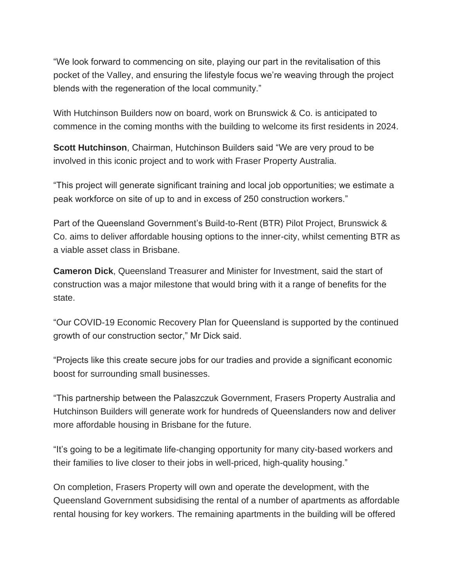"We look forward to commencing on site, playing our part in the revitalisation of this pocket of the Valley, and ensuring the lifestyle focus we're weaving through the project blends with the regeneration of the local community."

With Hutchinson Builders now on board, work on Brunswick & Co. is anticipated to commence in the coming months with the building to welcome its first residents in 2024.

**Scott Hutchinson**, Chairman, Hutchinson Builders said "We are very proud to be involved in this iconic project and to work with Fraser Property Australia.

"This project will generate significant training and local job opportunities; we estimate a peak workforce on site of up to and in excess of 250 construction workers."

Part of the Queensland Government's Build-to-Rent (BTR) Pilot Project, Brunswick & Co. aims to deliver affordable housing options to the inner-city, whilst cementing BTR as a viable asset class in Brisbane.

**Cameron Dick**, Queensland Treasurer and Minister for Investment, said the start of construction was a major milestone that would bring with it a range of benefits for the state.

"Our COVID-19 Economic Recovery Plan for Queensland is supported by the continued growth of our construction sector," Mr Dick said.

"Projects like this create secure jobs for our tradies and provide a significant economic boost for surrounding small businesses.

"This partnership between the Palaszczuk Government, Frasers Property Australia and Hutchinson Builders will generate work for hundreds of Queenslanders now and deliver more affordable housing in Brisbane for the future.

"It's going to be a legitimate life-changing opportunity for many city-based workers and their families to live closer to their jobs in well-priced, high-quality housing."

On completion, Frasers Property will own and operate the development, with the Queensland Government subsidising the rental of a number of apartments as affordable rental housing for key workers. The remaining apartments in the building will be offered